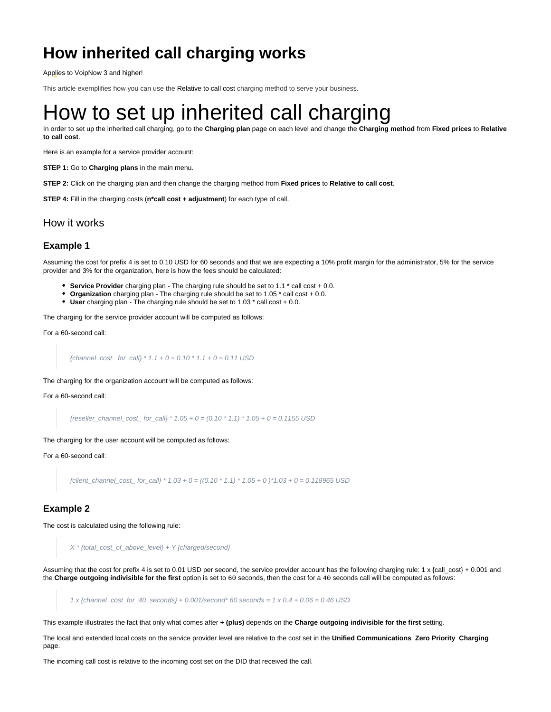# **How inherited call charging works**

Applies to VoipNow 3 and higher!

This article exemplifies how you can use the Relative to call cost charging method to serve your business.

# How to set up inherited call charging

In order to set up the inherited call charging, go to the **Charging plan** page on each level and change the **Charging method** from **Fixed prices** to **Relative to call cost**.

Here is an example for a service provider account:

**STEP 1:** Go to **Charging plans** in the main menu.

**STEP 2:** Click on the charging plan and then change the charging method from **Fixed prices** to **Relative to call cost**.

**STEP 4:** Fill in the charging costs (**n\*call cost + adjustment**) for each type of call.

### How it works

#### **Example 1**

Assuming the cost for prefix 4 is set to 0.10 USD for 60 seconds and that we are expecting a 10% profit margin for the administrator, 5% for the service provider and 3% for the organization, here is how the fees should be calculated:

- **Service Provider** charging plan The charging rule should be set to 1.1 \* call cost + 0.0.
- **Organization** charging plan The charging rule should be set to 1.05  $*$  call cost + 0.0.
- **User** charging plan The charging rule should be set to 1.03 \* call cost + 0.0.

The charging for the service provider account will be computed as follows:

For a 60-second call:

{channel cost for call} \*  $1.1 + 0 = 0.10$  \*  $1.1 + 0 = 0.11$  USD

The charging for the organization account will be computed as follows:

For a 60-second call:

{reseller\_channel\_cost\_ for\_call} \*  $1.05 + 0 = (0.10 * 1.1) * 1.05 + 0 = 0.1155 \text{ USD}$ 

The charging for the user account will be computed as follows:

For a 60-second call:

 ${client\_channel\_cost\_ for\_call} * 1.03 + 0 = ((0.10 * 1.1) * 1.05 + 0) *1.03 + 0 = 0.118965 \text{ USD}$ 

#### **Example 2**

The cost is calculated using the following rule:

X \* {total\_cost\_of\_above\_level} + Y {charged/second}

Assuming that the cost for prefix 4 is set to 0.01 USD per second, the service provider account has the following charging rule: 1 x {call\_cost} + 0.001 and the **Charge outgoing indivisible for the first** option is set to 60 seconds, then the cost for a 40 seconds call will be computed as follows:

1 x {channel\_cost\_for\_40\_seconds} +  $0.001$ /second\* 60 seconds = 1 x  $0.4 + 0.06 = 0.46$  USD

This example illustrates the fact that only what comes after **+ (plus)** depends on the **Charge outgoing indivisible for the first** setting.

The local and extended local costs on the service provider level are relative to the cost set in the **Unified Communications Zero Priority Charging** page.

The incoming call cost is relative to the incoming cost set on the DID that received the call.